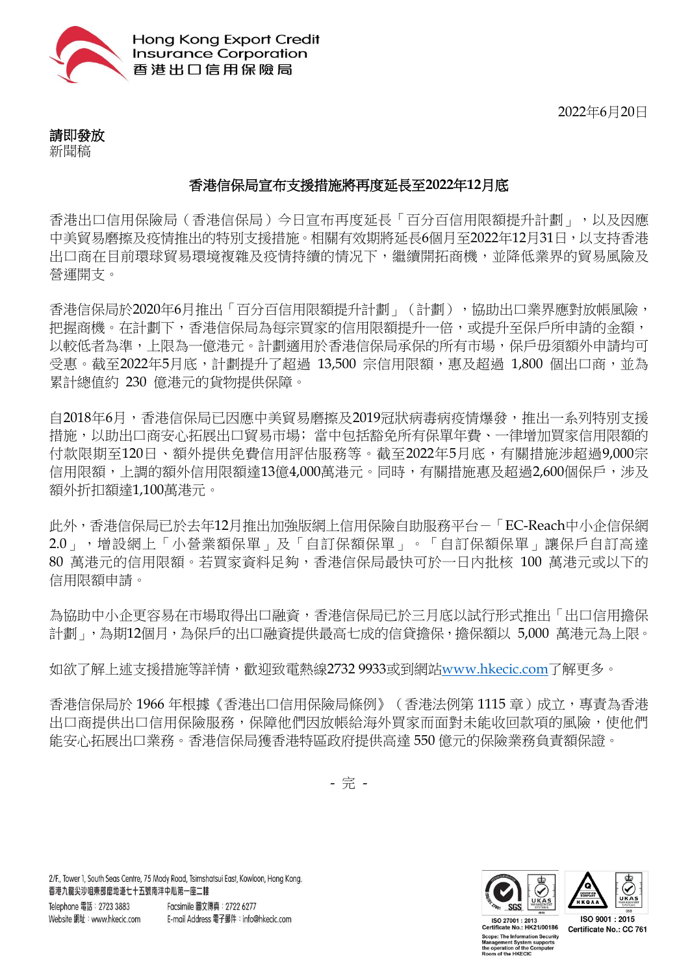

2022年6月20日

請即發放 新聞稿

## 香港信保局宣布支援措施將再度延長至**2022**年**12**月底

香港出口信用保險局(香港信保局)今日宣布再度延長「百分百信用限額提升計劃」,以及因應 中美貿易磨擦及疫情推出的特別支援措施。相關有效期將延長6個月至2022年12月31日,以支持香港 出口商在目前環球貿易環境被及疫情持續的情况下,繼續開拓商機,並降低業界的貿易風險及 營運開支。

香港信保局於2020年6月推出「百分百信用限額提升計劃」(計劃),協助出口業界應對放帳風險, 把握商機。在計劃下,香港信保局為每宗買家的信用限額提升一倍,或提升至保戶所申請的金額, 以較低者為準,上限為一億港元。計劃適用於香港信保局承保的所有市場,保戶毋須額外申請均可 受惠。截至2022年5月底,計劃提升了超過 13,500 宗信用限額,惠及超過 1,800 個出口商,並為 累計總值約 230 億港元的貨物提供保障。

自2018年6月,香港信保局已因應中美貿易磨擦及2019冠狀病毒病疫情爆發,推出一系列特別支援 措施,以助出口商安心拓展出口貿易市場;當中包括豁免所有保單年費、一律增加買家信用限額的 付款限期至120日、額外提供免費信用評估服務等。截至2022年5月底,有關措施涉超過9,000宗 信用限額,上調的額外信用限額達13億4,000萬港元。同時,有關措施惠及超過2,600個保戶,涉及 額外折扣額達1,100萬港元。

此外,香港信保局已於去年12月推出加強版網上信用保險自助服務平台-「EC-Reach中小企信保網 2.0」,增設網上「小營業額保單」及「自訂保額保單」。「自訂保額保單」讓保戶自訂高達 80 萬港元的信用限額。若買家資料足夠,香港信保局最快可於一日內批核 100 萬港元或以下的 信用限額申請。

為協助中小企更容易在市場取得出口融資,香港信保局已於三月底以試行形式推出「出口信用擔保 計劃」,為期12個月,為保戶的出口融資提供最高七成的信貸擔保,擔保額以 5,000 萬港元為上限。

如欲了解上述支援措施等詳情,歡迎致電熱線2732 9933或到網站[www.hkecic.com](http://www.hkecic.com/)了解更多。

香港信保局於 1966年根據《香港出口信用保險局條例》(香港法例第1115章)成立,專責為香港 出口商提供出口信用保險服務,保障他們因放帳給海外買家而面對未能收回款項的風險,使他們 能安心拓展出口業務。香港信保局獲香港特區政府提供高達 550 億元的保險業務負責額保證。

- 完 -

2/F., Tower 1, South Seas Centre, 75 Mody Road, Tsimshatsui East, Kowloon, Hong Kong. 香港九龍尖沙咀東部麼地道七十五號南洋中心第一座二樓 Telephone 電話: 2723 3883 Facsimile 圖文傳真: 2722 6277 Website 網址: www.hkecic.com E-mail Address 電子郵件: info@hkecic.com



Certificate No.: CC 761

ISO 27001: 2013 Certificate No.: HK21/00186 Scope: The Information Security<br>Management System supports<br>he operation of the Computer e operation of the<br>⊧om of the HKECI<mark>C</mark>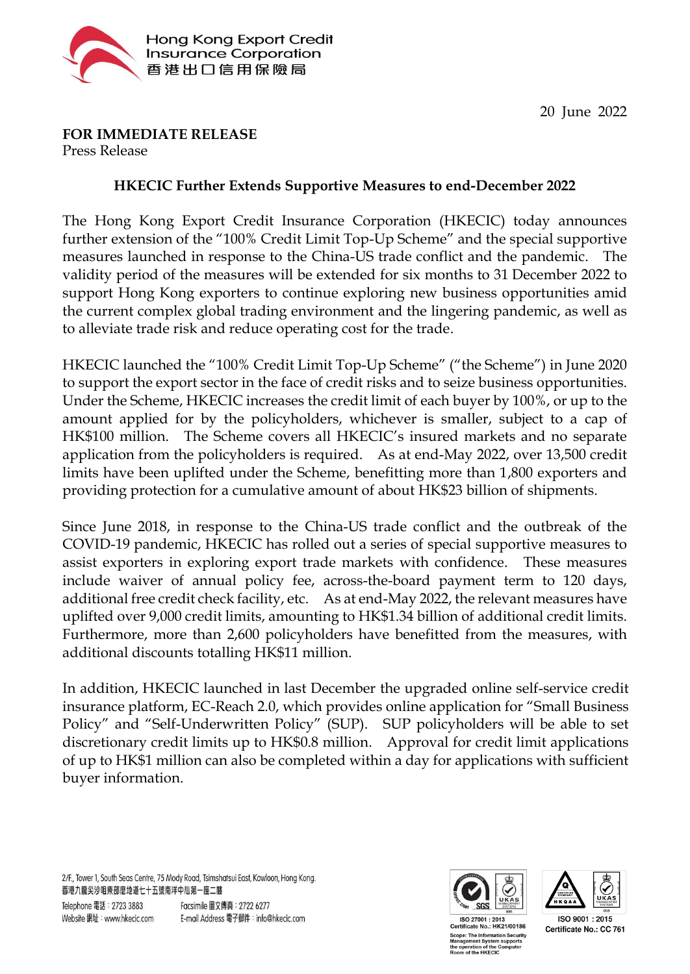

## **FOR IMMEDIATE RELEASE**

Press Release

## **HKECIC Further Extends Supportive Measures to end-December 2022**

The Hong Kong Export Credit Insurance Corporation (HKECIC) today announces further extension of the "100% Credit Limit Top-Up Scheme" and the special supportive measures launched in response to the China-US trade conflict and the pandemic. The validity period of the measures will be extended for six months to 31 December 2022 to support Hong Kong exporters to continue exploring new business opportunities amid the current complex global trading environment and the lingering pandemic, as well as to alleviate trade risk and reduce operating cost for the trade.

HKECIC launched the "100% Credit Limit Top-Up Scheme" ("the Scheme") in June 2020 to support the export sector in the face of credit risks and to seize business opportunities. Under the Scheme, HKECIC increases the credit limit of each buyer by 100%, or up to the amount applied for by the policyholders, whichever is smaller, subject to a cap of HK\$100 million. The Scheme covers all HKECIC's insured markets and no separate application from the policyholders is required. As at end-May 2022, over 13,500 credit limits have been uplifted under the Scheme, benefitting more than 1,800 exporters and providing protection for a cumulative amount of about HK\$23 billion of shipments.

Since June 2018, in response to the China-US trade conflict and the outbreak of the COVID-19 pandemic, HKECIC has rolled out a series of special supportive measures to assist exporters in exploring export trade markets with confidence. These measures include waiver of annual policy fee, across-the-board payment term to 120 days, additional free credit check facility, etc. As at end-May 2022, the relevant measures have uplifted over 9,000 credit limits, amounting to HK\$1.34 billion of additional credit limits. Furthermore, more than 2,600 policyholders have benefitted from the measures, with additional discounts totalling HK\$11 million.

In addition, HKECIC launched in last December the upgraded online self-service credit insurance platform, EC-Reach 2.0, which provides online application for "Small Business Policy" and "Self-Underwritten Policy" (SUP). SUP policyholders will be able to set discretionary credit limits up to HK\$0.8 million. Approval for credit limit applications of up to HK\$1 million can also be completed within a day for applications with sufficient buyer information.

2/F., Tower 1, South Seas Centre, 75 Mody Road, Tsimshatsui East, Kowloon, Hong Kong. 香港九龍尖沙咀東部麼地道七十五號南洋中心第一座二樓





ISO 27001: 2013 Certificate No.: HK21/00186 pe: The Information Security<br>nagement System supports<br>operation of the Computer stem support<mark>s</mark><br>the Computer m of the HKECIC

ISO 9001: 2015 Certificate No.: CC 761